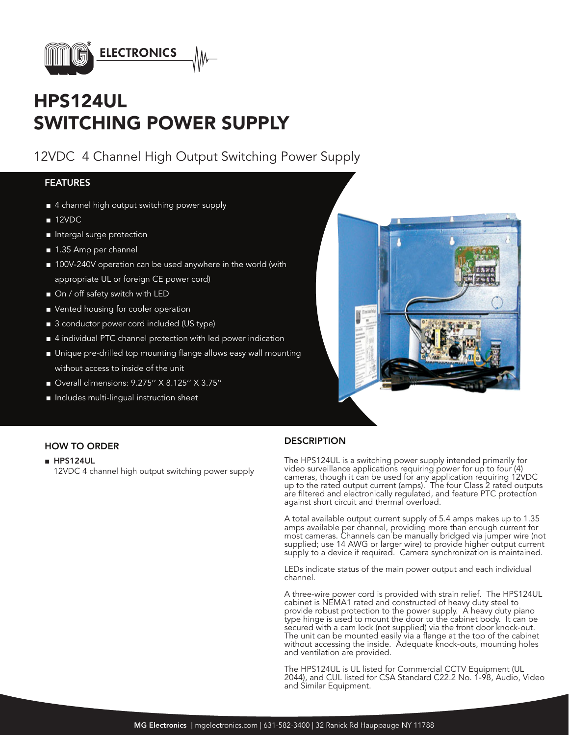

# HPS124UL SWITCHING POWER SUPPLY

12VDC 4 Channel High Output Switching Power Supply

## FEATURES

- 4 channel high output switching power supply
- 12VDC
- Intergal surge protection
- 1.35 Amp per channel
- 100V-240V operation can be used anywhere in the world (with appropriate UL or foreign CE power cord)
- On / off safety switch with LED
- Vented housing for cooler operation
- 3 conductor power cord included (US type)
- 4 individual PTC channel protection with led power indication
- Unique pre-drilled top mounting flange allows easy wall mounting without access to inside of the unit
- Overall dimensions: 9.275" X 8.125" X 3.75"
- Includes multi-lingual instruction sheet



# HOW TO ORDER

### ■ HPS124UL

12VDC 4 channel high output switching power supply

# **DESCRIPTION**

The HPS124UL is a switching power supply intended primarily for video surveillance applications requiring power for up to four (4) cameras, though it can be used for any application requiring 12VDC up to the rated output current (amps). The four Class 2 rated outputs are filtered and electronically regulated, and feature PTC protection against short circuit and thermal overload.

A total available output current supply of 5.4 amps makes up to 1.35 amps available per channel, providing more than enough current for most cameras. Channels can be manually bridged via jumper wire (not supplied; use 14 AWG or larger wire) to provide higher output current supply to a device if required. Camera synchronization is maintained.

LEDs indicate status of the main power output and each individual channel.

A three-wire power cord is provided with strain relief. The HPS124UL cabinet is NEMA1 rated and constructed of heavy duty steel to provide robust protection to the power supply. A heavy duty piano type hinge is used to mount the door to the cabinet body. It can be secured with a cam lock (not supplied) via the front door knock-out. The unit can be mounted easily via a flange at the top of the cabinet without accessing the inside. Adequate knock-outs, mounting holes and ventilation are provided.

The HPS124UL is UL listed for Commercial CCTV Equipment (UL 2044), and CUL listed for CSA Standard C22.2 No. 1-98, Audio, Video and Similar Equipment.